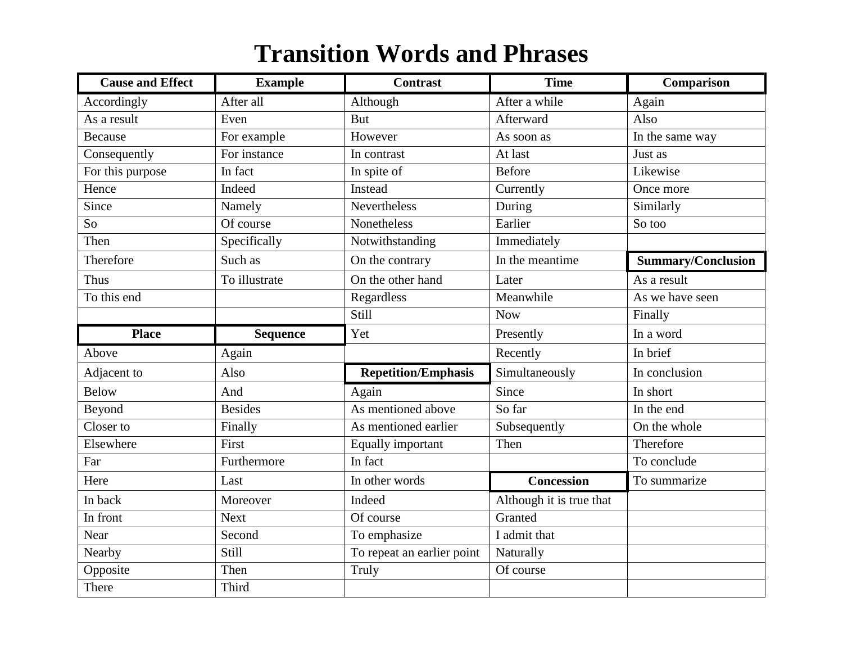# **Transition Words and Phrases**

| <b>Cause and Effect</b> | <b>Example</b>         | <b>Contrast</b>            | <b>Time</b>              | Comparison                |
|-------------------------|------------------------|----------------------------|--------------------------|---------------------------|
| Accordingly             | After all              | Although                   | After a while            | Again                     |
| As a result             | Even                   | But                        | Afterward                | Also                      |
| <b>Because</b>          | For example            | However                    | As soon as               | In the same way           |
| Consequently            | For instance           | In contrast                | At last                  | Just as                   |
| For this purpose        | In fact                | In spite of                | <b>Before</b>            | Likewise                  |
| Hence                   | Indeed                 | Instead                    | Currently                | Once more                 |
| Since                   | Namely                 | <b>Nevertheless</b>        | During                   | Similarly                 |
| So                      | $\overline{Of}$ course | Nonetheless                | Earlier                  | So too                    |
| Then                    | Specifically           | Notwithstanding            | Immediately              |                           |
| Therefore               | Such as                | On the contrary            | In the meantime          | <b>Summary/Conclusion</b> |
| Thus                    | To illustrate          | On the other hand          | Later                    | As a result               |
| To this end             |                        | Regardless                 | Meanwhile                | As we have seen           |
|                         |                        | Still                      | <b>Now</b>               | Finally                   |
| <b>Place</b>            | <b>Sequence</b>        | Yet                        | Presently                | In a word                 |
| Above                   | Again                  |                            | Recently                 | In brief                  |
| Adjacent to             | Also                   | <b>Repetition/Emphasis</b> | Simultaneously           | In conclusion             |
| <b>Below</b>            | And                    | Again                      | Since                    | In short                  |
| Beyond                  | <b>Besides</b>         | As mentioned above         | So far                   | In the end                |
| Closer to               | Finally                | As mentioned earlier       | Subsequently             | On the whole              |
| Elsewhere               | First                  | Equally important          | Then                     | Therefore                 |
| Far                     | Furthermore            | In fact                    |                          | To conclude               |
| Here                    | Last                   | In other words             | <b>Concession</b>        | To summarize              |
| In back                 | Moreover               | Indeed                     | Although it is true that |                           |
| In front                | <b>Next</b>            | Of course                  | Granted                  |                           |
| Near                    | Second                 | To emphasize               | I admit that             |                           |
| Nearby                  | Still                  | To repeat an earlier point | Naturally                |                           |
| Opposite                | Then                   | Truly                      | Of course                |                           |
| There                   | Third                  |                            |                          |                           |